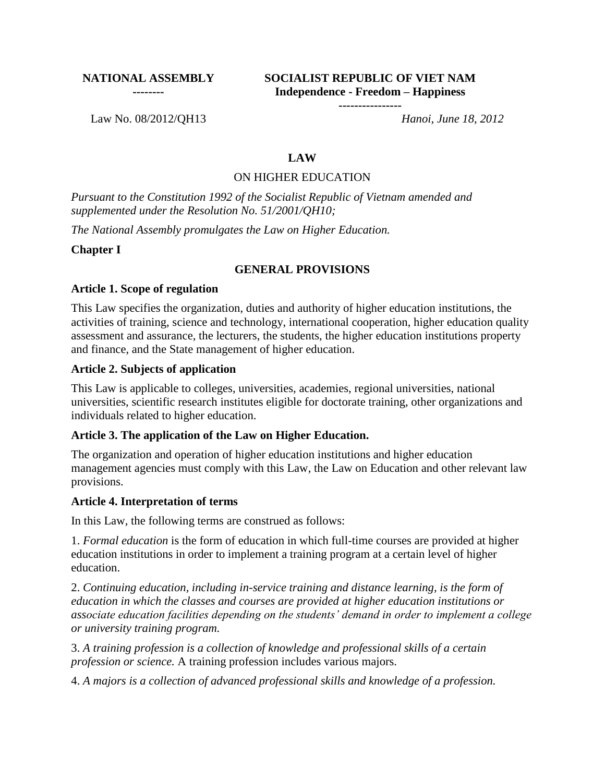#### **NATIONAL ASSEMBLY --------**

**SOCIALIST REPUBLIC OF VIET NAM Independence - Freedom – Happiness**

**----------------**

Law No. 08/2012/QH13 *Hanoi, June 18, 2012*

#### **LAW**

#### ON HIGHER EDUCATION

*Pursuant to the Constitution 1992 of the Socialist Republic of Vietnam amended and supplemented under the Resolution No. 51/2001/QH10;*

*The National Assembly promulgates the Law on Higher Education.*

**Chapter I**

#### **GENERAL PROVISIONS**

#### **Article 1. Scope of regulation**

This Law specifies the organization, duties and authority of higher education institutions, the activities of training, science and technology, international cooperation, higher education quality assessment and assurance, the lecturers, the students, the higher education institutions property and finance, and the State management of higher education.

#### **Article 2. Subjects of application**

This Law is applicable to colleges, universities, academies, regional universities, national universities, scientific research institutes eligible for doctorate training, other organizations and individuals related to higher education.

#### **Article 3. The application of the Law on Higher Education.**

The organization and operation of higher education institutions and higher education management agencies must comply with this Law, the Law on Education and other relevant law provisions.

#### **Article 4. Interpretation of terms**

In this Law, the following terms are construed as follows:

1. *Formal education* is the form of education in which full-time courses are provided at higher education institutions in order to implement a training program at a certain level of higher education.

2. *Continuing education, including in-service training and distance learning, is the form of education in which the classes and courses are provided at higher education institutions or associate education facilities depending on the students' demand in order to implement a college or university training program.*

3. *A training profession is a collection of knowledge and professional skills of a certain profession or science.* A training profession includes various majors.

4. *A majors is a collection of advanced professional skills and knowledge of a profession.*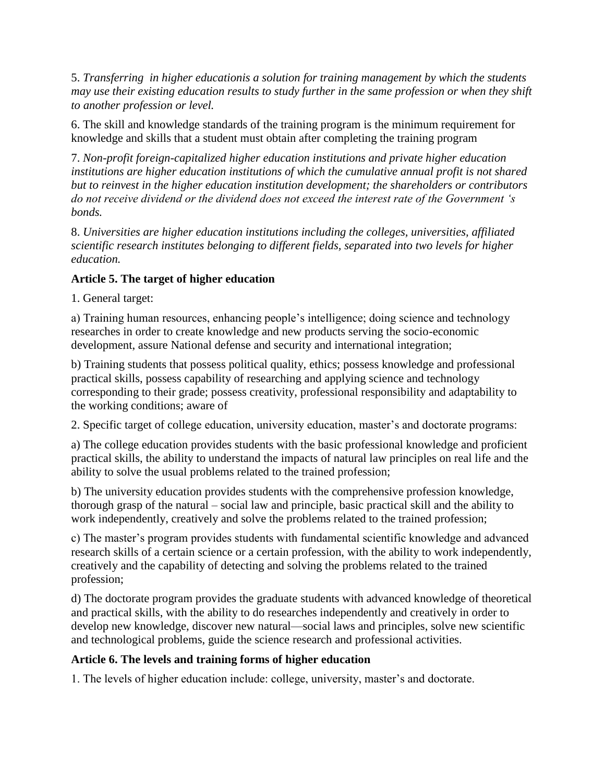5. *Transferring in higher educationis a solution for training management by which the students may use their existing education results to study further in the same profession or when they shift to another profession or level.*

6. The skill and knowledge standards of the training program is the minimum requirement for knowledge and skills that a student must obtain after completing the training program

7. *Non-profit foreign-capitalized higher education institutions and private higher education institutions are higher education institutions of which the cumulative annual profit is not shared but to reinvest in the higher education institution development; the shareholders or contributors do not receive dividend or the dividend does not exceed the interest rate of the Government 's bonds.*

8. *Universities are higher education institutions including the colleges, universities, affiliated scientific research institutes belonging to different fields, separated into two levels for higher education.*

## **Article 5. The target of higher education**

1. General target:

a) Training human resources, enhancing people's intelligence; doing science and technology researches in order to create knowledge and new products serving the socio-economic development, assure National defense and security and international integration;

b) Training students that possess political quality, ethics; possess knowledge and professional practical skills, possess capability of researching and applying science and technology corresponding to their grade; possess creativity, professional responsibility and adaptability to the working conditions; aware of

2. Specific target of college education, university education, master's and doctorate programs:

a) The college education provides students with the basic professional knowledge and proficient practical skills, the ability to understand the impacts of natural law principles on real life and the ability to solve the usual problems related to the trained profession;

b) The university education provides students with the comprehensive profession knowledge, thorough grasp of the natural – social law and principle, basic practical skill and the ability to work independently, creatively and solve the problems related to the trained profession;

c) The master's program provides students with fundamental scientific knowledge and advanced research skills of a certain science or a certain profession, with the ability to work independently, creatively and the capability of detecting and solving the problems related to the trained profession;

d) The doctorate program provides the graduate students with advanced knowledge of theoretical and practical skills, with the ability to do researches independently and creatively in order to develop new knowledge, discover new natural—social laws and principles, solve new scientific and technological problems, guide the science research and professional activities.

# **Article 6. The levels and training forms of higher education**

1. The levels of higher education include: college, university, master's and doctorate.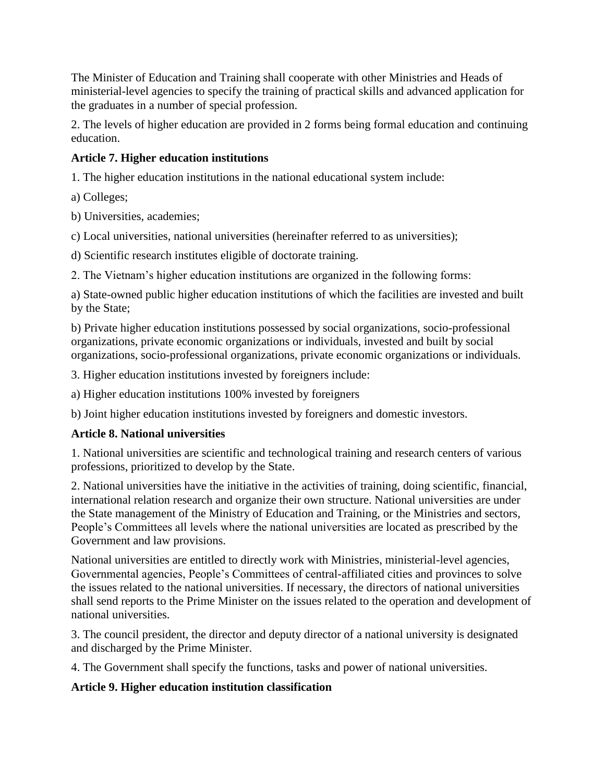The Minister of Education and Training shall cooperate with other Ministries and Heads of ministerial-level agencies to specify the training of practical skills and advanced application for the graduates in a number of special profession.

2. The levels of higher education are provided in 2 forms being formal education and continuing education.

# **Article 7. Higher education institutions**

1. The higher education institutions in the national educational system include:

a) Colleges;

b) Universities, academies;

c) Local universities, national universities (hereinafter referred to as universities);

d) Scientific research institutes eligible of doctorate training.

2. The Vietnam's higher education institutions are organized in the following forms:

a) State-owned public higher education institutions of which the facilities are invested and built by the State;

b) Private higher education institutions possessed by social organizations, socio-professional organizations, private economic organizations or individuals, invested and built by social organizations, socio-professional organizations, private economic organizations or individuals.

3. Higher education institutions invested by foreigners include:

a) Higher education institutions 100% invested by foreigners

b) Joint higher education institutions invested by foreigners and domestic investors.

# **Article 8. National universities**

1. National universities are scientific and technological training and research centers of various professions, prioritized to develop by the State.

2. National universities have the initiative in the activities of training, doing scientific, financial, international relation research and organize their own structure. National universities are under the State management of the Ministry of Education and Training, or the Ministries and sectors, People's Committees all levels where the national universities are located as prescribed by the Government and law provisions.

National universities are entitled to directly work with Ministries, ministerial-level agencies, Governmental agencies, People's Committees of central-affiliated cities and provinces to solve the issues related to the national universities. If necessary, the directors of national universities shall send reports to the Prime Minister on the issues related to the operation and development of national universities.

3. The council president, the director and deputy director of a national university is designated and discharged by the Prime Minister.

4. The Government shall specify the functions, tasks and power of national universities.

#### **Article 9. Higher education institution classification**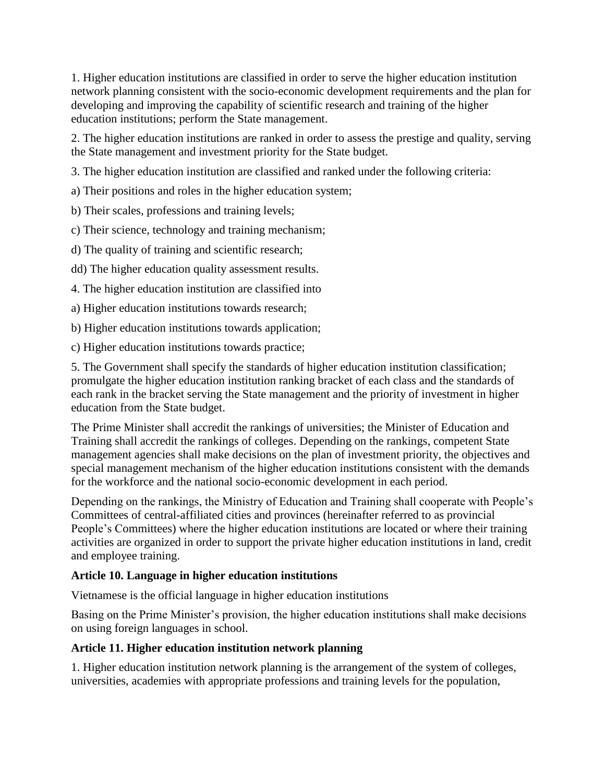1. Higher education institutions are classified in order to serve the higher education institution network planning consistent with the socio-economic development requirements and the plan for developing and improving the capability of scientific research and training of the higher education institutions; perform the State management.

2. The higher education institutions are ranked in order to assess the prestige and quality, serving the State management and investment priority for the State budget.

3. The higher education institution are classified and ranked under the following criteria:

a) Their positions and roles in the higher education system;

b) Their scales, professions and training levels;

c) Their science, technology and training mechanism;

d) The quality of training and scientific research;

dd) The higher education quality assessment results.

4. The higher education institution are classified into

a) Higher education institutions towards research;

b) Higher education institutions towards application;

c) Higher education institutions towards practice;

5. The Government shall specify the standards of higher education institution classification; promulgate the higher education institution ranking bracket of each class and the standards of each rank in the bracket serving the State management and the priority of investment in higher education from the State budget.

The Prime Minister shall accredit the rankings of universities; the Minister of Education and Training shall accredit the rankings of colleges. Depending on the rankings, competent State management agencies shall make decisions on the plan of investment priority, the objectives and special management mechanism of the higher education institutions consistent with the demands for the workforce and the national socio-economic development in each period.

Depending on the rankings, the Ministry of Education and Training shall cooperate with People's Committees of central-affiliated cities and provinces (hereinafter referred to as provincial People's Committees) where the higher education institutions are located or where their training activities are organized in order to support the private higher education institutions in land, credit and employee training.

# **Article 10. Language in higher education institutions**

Vietnamese is the official language in higher education institutions

Basing on the Prime Minister's provision, the higher education institutions shall make decisions on using foreign languages in school.

# **Article 11. Higher education institution network planning**

1. Higher education institution network planning is the arrangement of the system of colleges, universities, academies with appropriate professions and training levels for the population,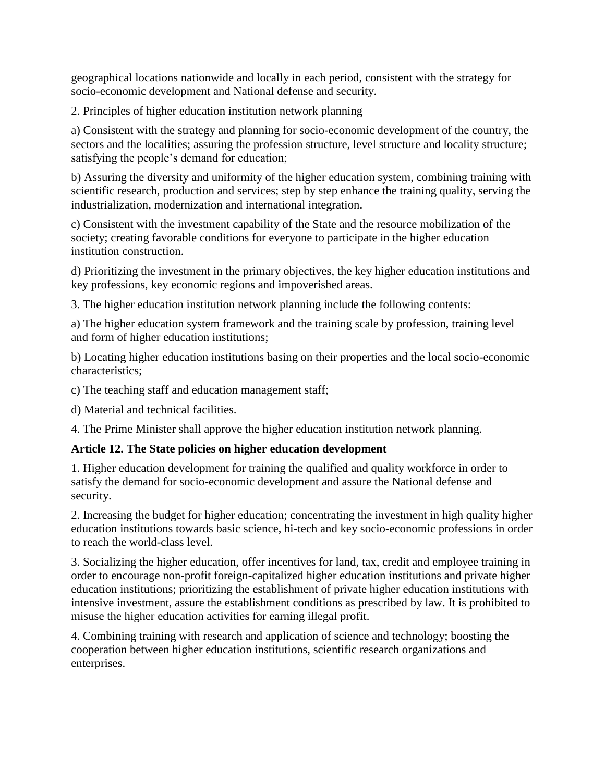geographical locations nationwide and locally in each period, consistent with the strategy for socio-economic development and National defense and security.

2. Principles of higher education institution network planning

a) Consistent with the strategy and planning for socio-economic development of the country, the sectors and the localities; assuring the profession structure, level structure and locality structure; satisfying the people's demand for education;

b) Assuring the diversity and uniformity of the higher education system, combining training with scientific research, production and services; step by step enhance the training quality, serving the industrialization, modernization and international integration.

c) Consistent with the investment capability of the State and the resource mobilization of the society; creating favorable conditions for everyone to participate in the higher education institution construction.

d) Prioritizing the investment in the primary objectives, the key higher education institutions and key professions, key economic regions and impoverished areas.

3. The higher education institution network planning include the following contents:

a) The higher education system framework and the training scale by profession, training level and form of higher education institutions;

b) Locating higher education institutions basing on their properties and the local socio-economic characteristics;

c) The teaching staff and education management staff;

d) Material and technical facilities.

4. The Prime Minister shall approve the higher education institution network planning.

# **Article 12. The State policies on higher education development**

1. Higher education development for training the qualified and quality workforce in order to satisfy the demand for socio-economic development and assure the National defense and security.

2. Increasing the budget for higher education; concentrating the investment in high quality higher education institutions towards basic science, hi-tech and key socio-economic professions in order to reach the world-class level.

3. Socializing the higher education, offer incentives for land, tax, credit and employee training in order to encourage non-profit foreign-capitalized higher education institutions and private higher education institutions; prioritizing the establishment of private higher education institutions with intensive investment, assure the establishment conditions as prescribed by law. It is prohibited to misuse the higher education activities for earning illegal profit.

4. Combining training with research and application of science and technology; boosting the cooperation between higher education institutions, scientific research organizations and enterprises.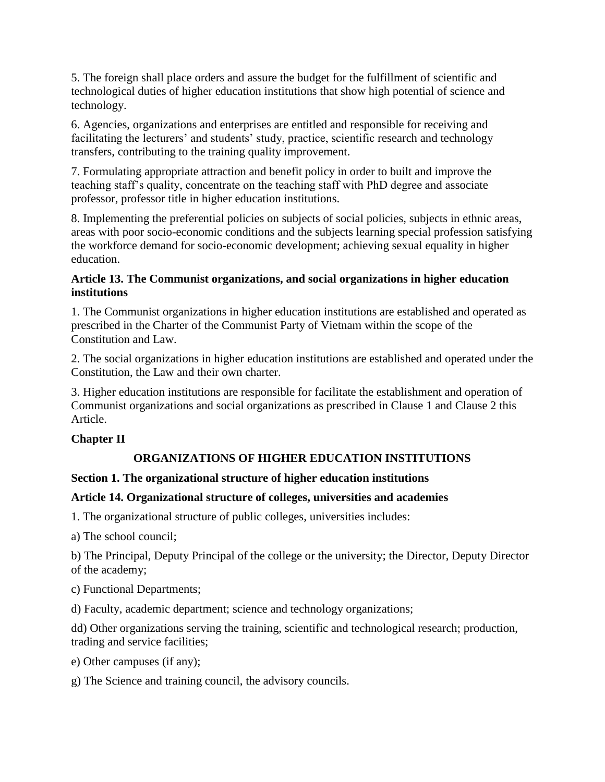5. The foreign shall place orders and assure the budget for the fulfillment of scientific and technological duties of higher education institutions that show high potential of science and technology.

6. Agencies, organizations and enterprises are entitled and responsible for receiving and facilitating the lecturers' and students' study, practice, scientific research and technology transfers, contributing to the training quality improvement.

7. Formulating appropriate attraction and benefit policy in order to built and improve the teaching staff's quality, concentrate on the teaching staff with PhD degree and associate professor, professor title in higher education institutions.

8. Implementing the preferential policies on subjects of social policies, subjects in ethnic areas, areas with poor socio-economic conditions and the subjects learning special profession satisfying the workforce demand for socio-economic development; achieving sexual equality in higher education.

#### **Article 13. The Communist organizations, and social organizations in higher education institutions**

1. The Communist organizations in higher education institutions are established and operated as prescribed in the Charter of the Communist Party of Vietnam within the scope of the Constitution and Law.

2. The social organizations in higher education institutions are established and operated under the Constitution, the Law and their own charter.

3. Higher education institutions are responsible for facilitate the establishment and operation of Communist organizations and social organizations as prescribed in Clause 1 and Clause 2 this Article.

# **Chapter II**

# **ORGANIZATIONS OF HIGHER EDUCATION INSTITUTIONS**

# **Section 1. The organizational structure of higher education institutions**

#### **Article 14. Organizational structure of colleges, universities and academies**

1. The organizational structure of public colleges, universities includes:

a) The school council;

b) The Principal, Deputy Principal of the college or the university; the Director, Deputy Director of the academy;

c) Functional Departments;

d) Faculty, academic department; science and technology organizations;

dd) Other organizations serving the training, scientific and technological research; production, trading and service facilities;

e) Other campuses (if any);

g) The Science and training council, the advisory councils.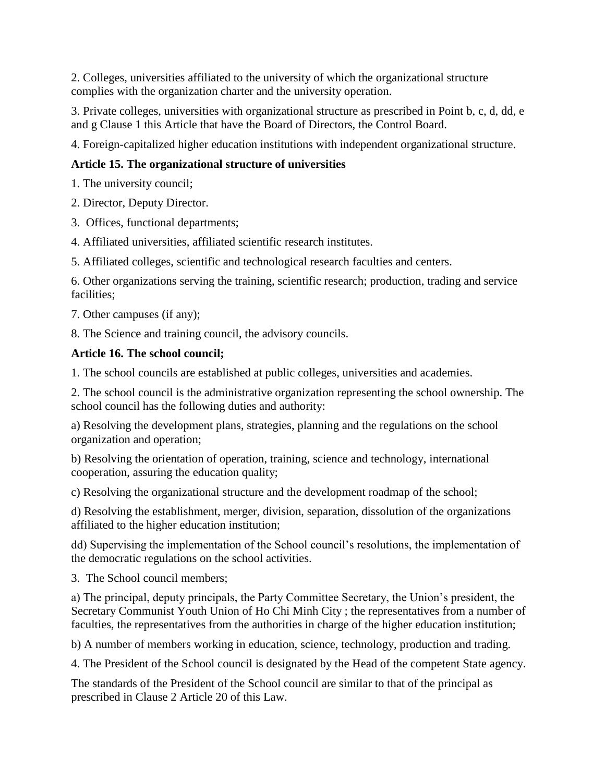2. Colleges, universities affiliated to the university of which the organizational structure complies with the organization charter and the university operation.

3. Private colleges, universities with organizational structure as prescribed in Point b, c, d, dd, e and g Clause 1 this Article that have the Board of Directors, the Control Board.

4. Foreign-capitalized higher education institutions with independent organizational structure.

# **Article 15. The organizational structure of universities**

1. The university council;

- 2. Director, Deputy Director.
- 3. Offices, functional departments;
- 4. Affiliated universities, affiliated scientific research institutes.
- 5. Affiliated colleges, scientific and technological research faculties and centers.

6. Other organizations serving the training, scientific research; production, trading and service facilities;

7. Other campuses (if any);

8. The Science and training council, the advisory councils.

# **Article 16. The school council;**

1. The school councils are established at public colleges, universities and academies.

2. The school council is the administrative organization representing the school ownership. The school council has the following duties and authority:

a) Resolving the development plans, strategies, planning and the regulations on the school organization and operation;

b) Resolving the orientation of operation, training, science and technology, international cooperation, assuring the education quality;

c) Resolving the organizational structure and the development roadmap of the school;

d) Resolving the establishment, merger, division, separation, dissolution of the organizations affiliated to the higher education institution;

dd) Supervising the implementation of the School council's resolutions, the implementation of the democratic regulations on the school activities.

3. The School council members;

a) The principal, deputy principals, the Party Committee Secretary, the Union's president, the Secretary Communist Youth Union of Ho Chi Minh City ; the representatives from a number of faculties, the representatives from the authorities in charge of the higher education institution;

b) A number of members working in education, science, technology, production and trading.

4. The President of the School council is designated by the Head of the competent State agency.

The standards of the President of the School council are similar to that of the principal as prescribed in Clause 2 Article 20 of this Law.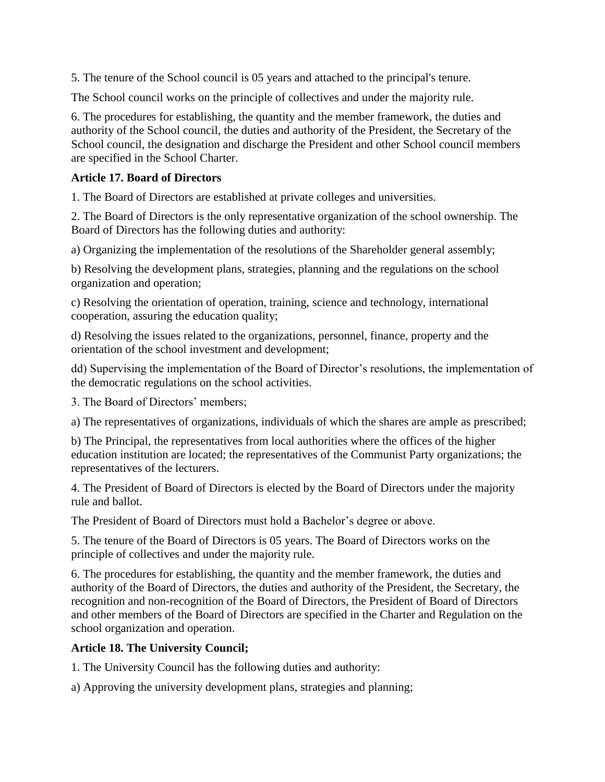5. The tenure of the School council is 05 years and attached to the principal's tenure.

The School council works on the principle of collectives and under the majority rule.

6. The procedures for establishing, the quantity and the member framework, the duties and authority of the School council, the duties and authority of the President, the Secretary of the School council, the designation and discharge the President and other School council members are specified in the School Charter.

#### **Article 17. Board of Directors**

1. The Board of Directors are established at private colleges and universities.

2. The Board of Directors is the only representative organization of the school ownership. The Board of Directors has the following duties and authority:

a) Organizing the implementation of the resolutions of the Shareholder general assembly;

b) Resolving the development plans, strategies, planning and the regulations on the school organization and operation;

c) Resolving the orientation of operation, training, science and technology, international cooperation, assuring the education quality;

d) Resolving the issues related to the organizations, personnel, finance, property and the orientation of the school investment and development;

dd) Supervising the implementation of the Board of Director's resolutions, the implementation of the democratic regulations on the school activities.

3. The Board of Directors' members;

a) The representatives of organizations, individuals of which the shares are ample as prescribed;

b) The Principal, the representatives from local authorities where the offices of the higher education institution are located; the representatives of the Communist Party organizations; the representatives of the lecturers.

4. The President of Board of Directors is elected by the Board of Directors under the majority rule and ballot.

The President of Board of Directors must hold a Bachelor's degree or above.

5. The tenure of the Board of Directors is 05 years. The Board of Directors works on the principle of collectives and under the majority rule.

6. The procedures for establishing, the quantity and the member framework, the duties and authority of the Board of Directors, the duties and authority of the President, the Secretary, the recognition and non-recognition of the Board of Directors, the President of Board of Directors and other members of the Board of Directors are specified in the Charter and Regulation on the school organization and operation.

#### **Article 18. The University Council;**

1. The University Council has the following duties and authority:

a) Approving the university development plans, strategies and planning;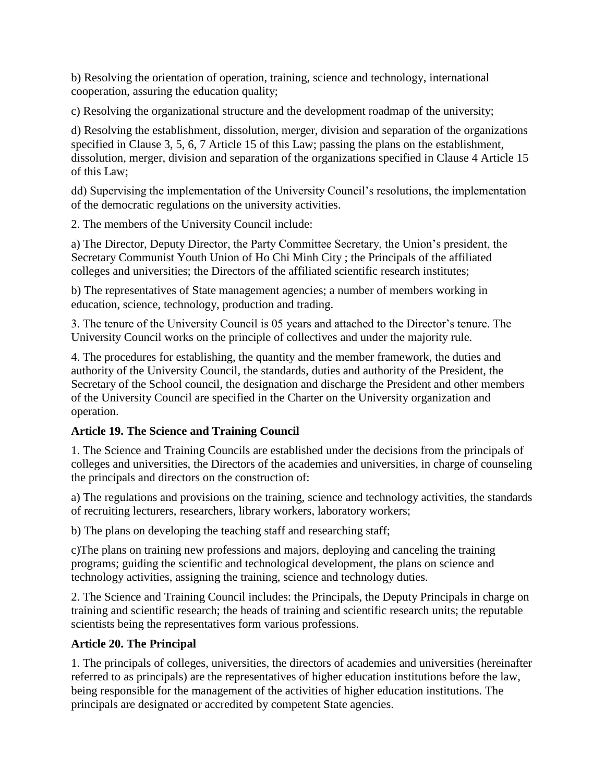b) Resolving the orientation of operation, training, science and technology, international cooperation, assuring the education quality;

c) Resolving the organizational structure and the development roadmap of the university;

d) Resolving the establishment, dissolution, merger, division and separation of the organizations specified in Clause 3, 5, 6, 7 Article 15 of this Law; passing the plans on the establishment, dissolution, merger, division and separation of the organizations specified in Clause 4 Article 15 of this Law;

dd) Supervising the implementation of the University Council's resolutions, the implementation of the democratic regulations on the university activities.

2. The members of the University Council include:

a) The Director, Deputy Director, the Party Committee Secretary, the Union's president, the Secretary Communist Youth Union of Ho Chi Minh City ; the Principals of the affiliated colleges and universities; the Directors of the affiliated scientific research institutes;

b) The representatives of State management agencies; a number of members working in education, science, technology, production and trading.

3. The tenure of the University Council is 05 years and attached to the Director's tenure. The University Council works on the principle of collectives and under the majority rule.

4. The procedures for establishing, the quantity and the member framework, the duties and authority of the University Council, the standards, duties and authority of the President, the Secretary of the School council, the designation and discharge the President and other members of the University Council are specified in the Charter on the University organization and operation.

#### **Article 19. The Science and Training Council**

1. The Science and Training Councils are established under the decisions from the principals of colleges and universities, the Directors of the academies and universities, in charge of counseling the principals and directors on the construction of:

a) The regulations and provisions on the training, science and technology activities, the standards of recruiting lecturers, researchers, library workers, laboratory workers;

b) The plans on developing the teaching staff and researching staff;

c)The plans on training new professions and majors, deploying and canceling the training programs; guiding the scientific and technological development, the plans on science and technology activities, assigning the training, science and technology duties.

2. The Science and Training Council includes: the Principals, the Deputy Principals in charge on training and scientific research; the heads of training and scientific research units; the reputable scientists being the representatives form various professions.

#### **Article 20. The Principal**

1. The principals of colleges, universities, the directors of academies and universities (hereinafter referred to as principals) are the representatives of higher education institutions before the law, being responsible for the management of the activities of higher education institutions. The principals are designated or accredited by competent State agencies.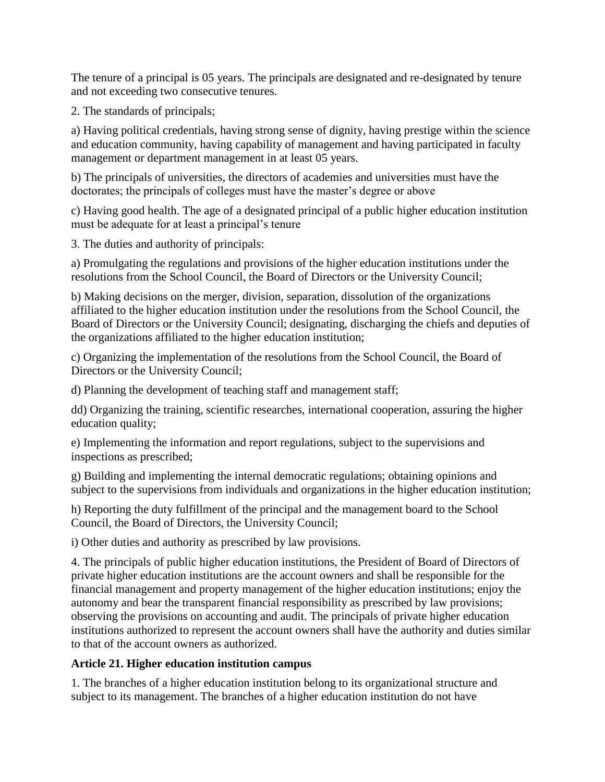The tenure of a principal is 05 years. The principals are designated and re-designated by tenure and not exceeding two consecutive tenures.

2. The standards of principals;

a) Having political credentials, having strong sense of dignity, having prestige within the science and education community, having capability of management and having participated in faculty management or department management in at least 05 years.

b) The principals of universities, the directors of academies and universities must have the doctorates; the principals of colleges must have the master's degree or above

c) Having good health. The age of a designated principal of a public higher education institution must be adequate for at least a principal's tenure

3. The duties and authority of principals:

a) Promulgating the regulations and provisions of the higher education institutions under the resolutions from the School Council, the Board of Directors or the University Council;

b) Making decisions on the merger, division, separation, dissolution of the organizations affiliated to the higher education institution under the resolutions from the School Council, the Board of Directors or the University Council; designating, discharging the chiefs and deputies of the organizations affiliated to the higher education institution;

c) Organizing the implementation of the resolutions from the School Council, the Board of Directors or the University Council;

d) Planning the development of teaching staff and management staff;

dd) Organizing the training, scientific researches, international cooperation, assuring the higher education quality;

e) Implementing the information and report regulations, subject to the supervisions and inspections as prescribed;

g) Building and implementing the internal democratic regulations; obtaining opinions and subject to the supervisions from individuals and organizations in the higher education institution;

h) Reporting the duty fulfillment of the principal and the management board to the School Council, the Board of Directors, the University Council;

i) Other duties and authority as prescribed by law provisions.

4. The principals of public higher education institutions, the President of Board of Directors of private higher education institutions are the account owners and shall be responsible for the financial management and property management of the higher education institutions; enjoy the autonomy and bear the transparent financial responsibility as prescribed by law provisions; observing the provisions on accounting and audit. The principals of private higher education institutions authorized to represent the account owners shall have the authority and duties similar to that of the account owners as authorized.

#### **Article 21. Higher education institution campus**

1. The branches of a higher education institution belong to its organizational structure and subject to its management. The branches of a higher education institution do not have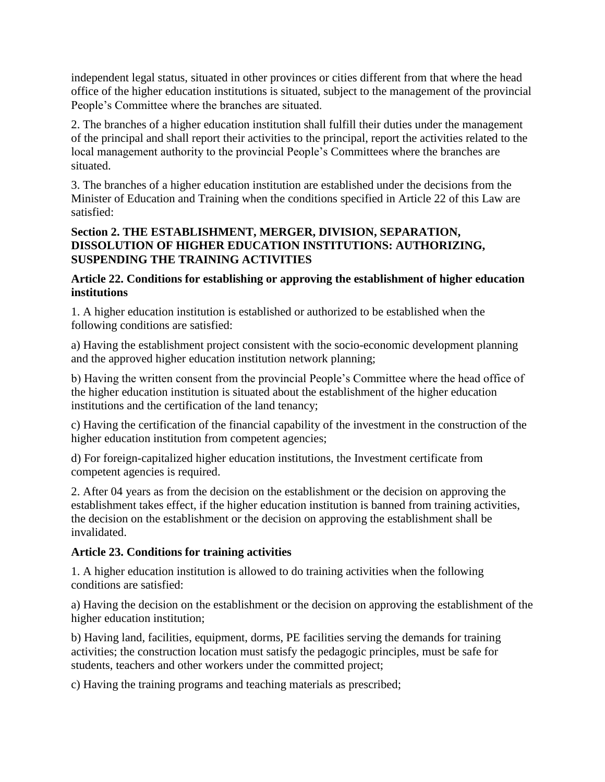independent legal status, situated in other provinces or cities different from that where the head office of the higher education institutions is situated, subject to the management of the provincial People's Committee where the branches are situated.

2. The branches of a higher education institution shall fulfill their duties under the management of the principal and shall report their activities to the principal, report the activities related to the local management authority to the provincial People's Committees where the branches are situated.

3. The branches of a higher education institution are established under the decisions from the Minister of Education and Training when the conditions specified in Article 22 of this Law are satisfied:

#### **Section 2. THE ESTABLISHMENT, MERGER, DIVISION, SEPARATION, DISSOLUTION OF HIGHER EDUCATION INSTITUTIONS: AUTHORIZING, SUSPENDING THE TRAINING ACTIVITIES**

#### **Article 22. Conditions for establishing or approving the establishment of higher education institutions**

1. A higher education institution is established or authorized to be established when the following conditions are satisfied:

a) Having the establishment project consistent with the socio-economic development planning and the approved higher education institution network planning;

b) Having the written consent from the provincial People's Committee where the head office of the higher education institution is situated about the establishment of the higher education institutions and the certification of the land tenancy;

c) Having the certification of the financial capability of the investment in the construction of the higher education institution from competent agencies;

d) For foreign-capitalized higher education institutions, the Investment certificate from competent agencies is required.

2. After 04 years as from the decision on the establishment or the decision on approving the establishment takes effect, if the higher education institution is banned from training activities, the decision on the establishment or the decision on approving the establishment shall be invalidated.

# **Article 23. Conditions for training activities**

1. A higher education institution is allowed to do training activities when the following conditions are satisfied:

a) Having the decision on the establishment or the decision on approving the establishment of the higher education institution;

b) Having land, facilities, equipment, dorms, PE facilities serving the demands for training activities; the construction location must satisfy the pedagogic principles, must be safe for students, teachers and other workers under the committed project;

c) Having the training programs and teaching materials as prescribed;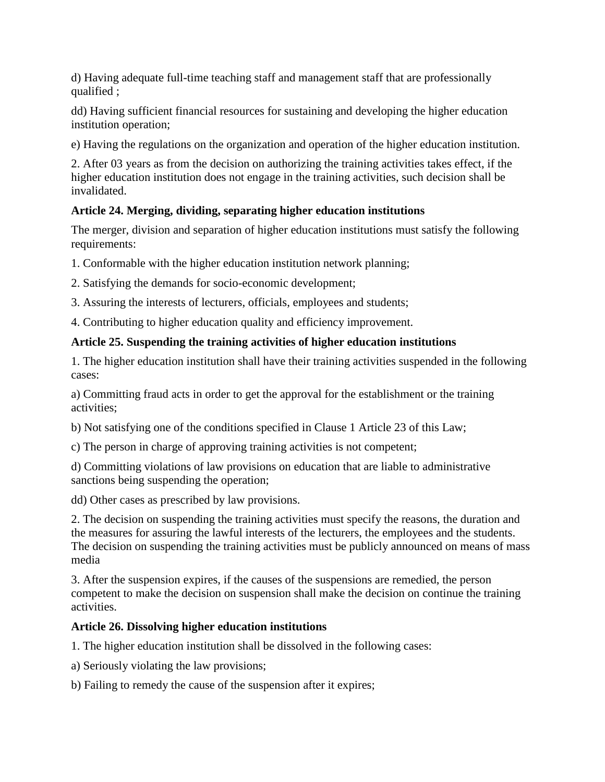d) Having adequate full-time teaching staff and management staff that are professionally qualified ;

dd) Having sufficient financial resources for sustaining and developing the higher education institution operation;

e) Having the regulations on the organization and operation of the higher education institution.

2. After 03 years as from the decision on authorizing the training activities takes effect, if the higher education institution does not engage in the training activities, such decision shall be invalidated.

# **Article 24. Merging, dividing, separating higher education institutions**

The merger, division and separation of higher education institutions must satisfy the following requirements:

1. Conformable with the higher education institution network planning;

- 2. Satisfying the demands for socio-economic development;
- 3. Assuring the interests of lecturers, officials, employees and students;
- 4. Contributing to higher education quality and efficiency improvement.

# **Article 25. Suspending the training activities of higher education institutions**

1. The higher education institution shall have their training activities suspended in the following cases:

a) Committing fraud acts in order to get the approval for the establishment or the training activities;

b) Not satisfying one of the conditions specified in Clause 1 Article 23 of this Law;

c) The person in charge of approving training activities is not competent;

d) Committing violations of law provisions on education that are liable to administrative sanctions being suspending the operation;

dd) Other cases as prescribed by law provisions.

2. The decision on suspending the training activities must specify the reasons, the duration and the measures for assuring the lawful interests of the lecturers, the employees and the students. The decision on suspending the training activities must be publicly announced on means of mass media

3. After the suspension expires, if the causes of the suspensions are remedied, the person competent to make the decision on suspension shall make the decision on continue the training activities.

# **Article 26. Dissolving higher education institutions**

1. The higher education institution shall be dissolved in the following cases:

a) Seriously violating the law provisions;

b) Failing to remedy the cause of the suspension after it expires;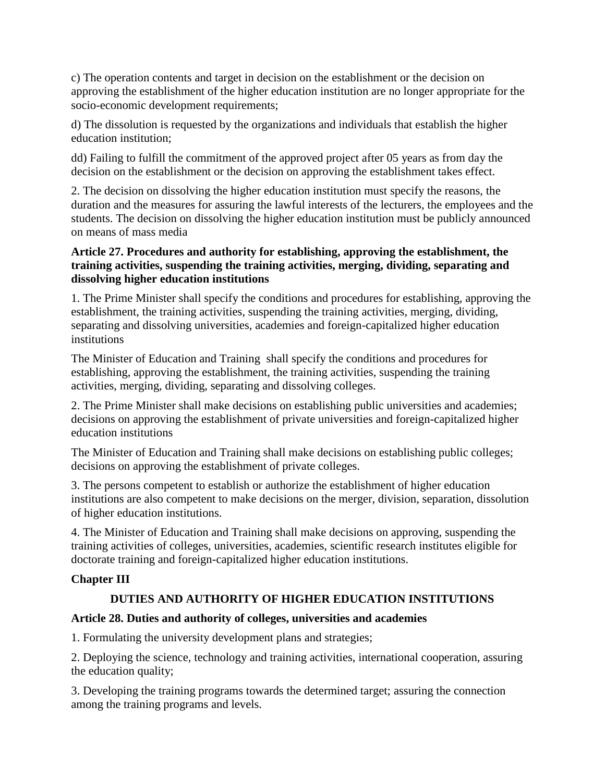c) The operation contents and target in decision on the establishment or the decision on approving the establishment of the higher education institution are no longer appropriate for the socio-economic development requirements;

d) The dissolution is requested by the organizations and individuals that establish the higher education institution;

dd) Failing to fulfill the commitment of the approved project after 05 years as from day the decision on the establishment or the decision on approving the establishment takes effect.

2. The decision on dissolving the higher education institution must specify the reasons, the duration and the measures for assuring the lawful interests of the lecturers, the employees and the students. The decision on dissolving the higher education institution must be publicly announced on means of mass media

#### **Article 27. Procedures and authority for establishing, approving the establishment, the training activities, suspending the training activities, merging, dividing, separating and dissolving higher education institutions**

1. The Prime Minister shall specify the conditions and procedures for establishing, approving the establishment, the training activities, suspending the training activities, merging, dividing, separating and dissolving universities, academies and foreign-capitalized higher education institutions

The Minister of Education and Training shall specify the conditions and procedures for establishing, approving the establishment, the training activities, suspending the training activities, merging, dividing, separating and dissolving colleges.

2. The Prime Minister shall make decisions on establishing public universities and academies; decisions on approving the establishment of private universities and foreign-capitalized higher education institutions

The Minister of Education and Training shall make decisions on establishing public colleges; decisions on approving the establishment of private colleges.

3. The persons competent to establish or authorize the establishment of higher education institutions are also competent to make decisions on the merger, division, separation, dissolution of higher education institutions.

4. The Minister of Education and Training shall make decisions on approving, suspending the training activities of colleges, universities, academies, scientific research institutes eligible for doctorate training and foreign-capitalized higher education institutions.

# **Chapter III**

# **DUTIES AND AUTHORITY OF HIGHER EDUCATION INSTITUTIONS**

#### **Article 28. Duties and authority of colleges, universities and academies**

1. Formulating the university development plans and strategies;

2. Deploying the science, technology and training activities, international cooperation, assuring the education quality;

3. Developing the training programs towards the determined target; assuring the connection among the training programs and levels.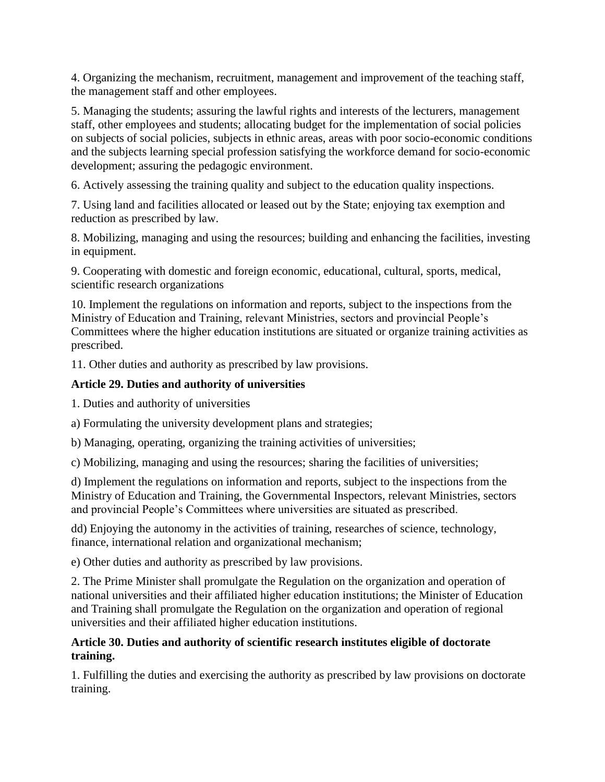4. Organizing the mechanism, recruitment, management and improvement of the teaching staff, the management staff and other employees.

5. Managing the students; assuring the lawful rights and interests of the lecturers, management staff, other employees and students; allocating budget for the implementation of social policies on subjects of social policies, subjects in ethnic areas, areas with poor socio-economic conditions and the subjects learning special profession satisfying the workforce demand for socio-economic development; assuring the pedagogic environment.

6. Actively assessing the training quality and subject to the education quality inspections.

7. Using land and facilities allocated or leased out by the State; enjoying tax exemption and reduction as prescribed by law.

8. Mobilizing, managing and using the resources; building and enhancing the facilities, investing in equipment.

9. Cooperating with domestic and foreign economic, educational, cultural, sports, medical, scientific research organizations

10. Implement the regulations on information and reports, subject to the inspections from the Ministry of Education and Training, relevant Ministries, sectors and provincial People's Committees where the higher education institutions are situated or organize training activities as prescribed.

11. Other duties and authority as prescribed by law provisions.

# **Article 29. Duties and authority of universities**

1. Duties and authority of universities

a) Formulating the university development plans and strategies;

b) Managing, operating, organizing the training activities of universities;

c) Mobilizing, managing and using the resources; sharing the facilities of universities;

d) Implement the regulations on information and reports, subject to the inspections from the Ministry of Education and Training, the Governmental Inspectors, relevant Ministries, sectors and provincial People's Committees where universities are situated as prescribed.

dd) Enjoying the autonomy in the activities of training, researches of science, technology, finance, international relation and organizational mechanism;

e) Other duties and authority as prescribed by law provisions.

2. The Prime Minister shall promulgate the Regulation on the organization and operation of national universities and their affiliated higher education institutions; the Minister of Education and Training shall promulgate the Regulation on the organization and operation of regional universities and their affiliated higher education institutions.

## **Article 30. Duties and authority of scientific research institutes eligible of doctorate training.**

1. Fulfilling the duties and exercising the authority as prescribed by law provisions on doctorate training.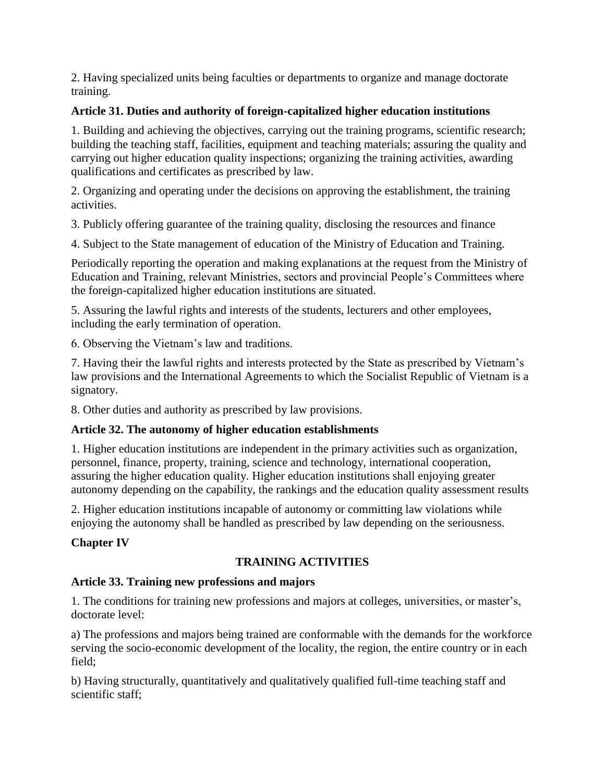2. Having specialized units being faculties or departments to organize and manage doctorate training.

#### **Article 31. Duties and authority of foreign-capitalized higher education institutions**

1. Building and achieving the objectives, carrying out the training programs, scientific research; building the teaching staff, facilities, equipment and teaching materials; assuring the quality and carrying out higher education quality inspections; organizing the training activities, awarding qualifications and certificates as prescribed by law.

2. Organizing and operating under the decisions on approving the establishment, the training activities.

3. Publicly offering guarantee of the training quality, disclosing the resources and finance

4. Subject to the State management of education of the Ministry of Education and Training.

Periodically reporting the operation and making explanations at the request from the Ministry of Education and Training, relevant Ministries, sectors and provincial People's Committees where the foreign-capitalized higher education institutions are situated.

5. Assuring the lawful rights and interests of the students, lecturers and other employees, including the early termination of operation.

6. Observing the Vietnam's law and traditions.

7. Having their the lawful rights and interests protected by the State as prescribed by Vietnam's law provisions and the International Agreements to which the Socialist Republic of Vietnam is a signatory.

8. Other duties and authority as prescribed by law provisions.

#### **Article 32. The autonomy of higher education establishments**

1. Higher education institutions are independent in the primary activities such as organization, personnel, finance, property, training, science and technology, international cooperation, assuring the higher education quality. Higher education institutions shall enjoying greater autonomy depending on the capability, the rankings and the education quality assessment results

2. Higher education institutions incapable of autonomy or committing law violations while enjoying the autonomy shall be handled as prescribed by law depending on the seriousness.

#### **Chapter IV**

#### **TRAINING ACTIVITIES**

#### **Article 33. Training new professions and majors**

1. The conditions for training new professions and majors at colleges, universities, or master's, doctorate level:

a) The professions and majors being trained are conformable with the demands for the workforce serving the socio-economic development of the locality, the region, the entire country or in each field;

b) Having structurally, quantitatively and qualitatively qualified full-time teaching staff and scientific staff;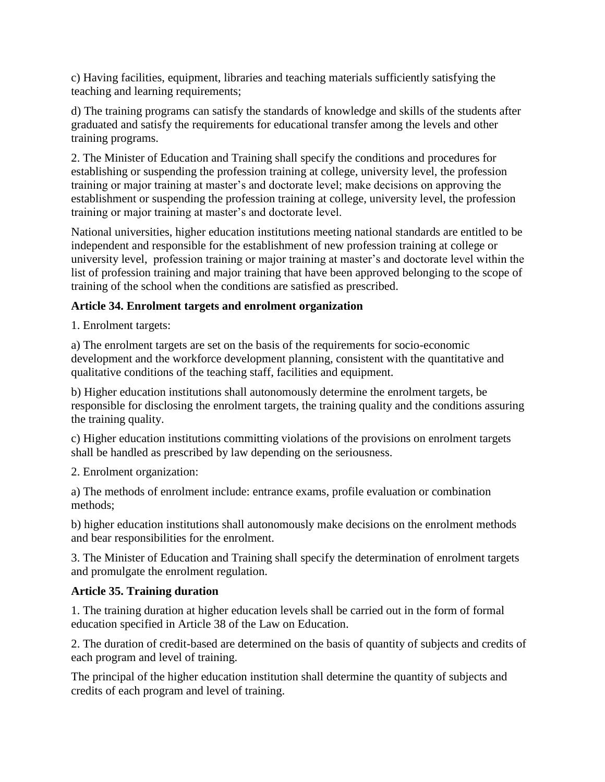c) Having facilities, equipment, libraries and teaching materials sufficiently satisfying the teaching and learning requirements;

d) The training programs can satisfy the standards of knowledge and skills of the students after graduated and satisfy the requirements for educational transfer among the levels and other training programs.

2. The Minister of Education and Training shall specify the conditions and procedures for establishing or suspending the profession training at college, university level, the profession training or major training at master's and doctorate level; make decisions on approving the establishment or suspending the profession training at college, university level, the profession training or major training at master's and doctorate level.

National universities, higher education institutions meeting national standards are entitled to be independent and responsible for the establishment of new profession training at college or university level, profession training or major training at master's and doctorate level within the list of profession training and major training that have been approved belonging to the scope of training of the school when the conditions are satisfied as prescribed.

# **Article 34. Enrolment targets and enrolment organization**

1. Enrolment targets:

a) The enrolment targets are set on the basis of the requirements for socio-economic development and the workforce development planning, consistent with the quantitative and qualitative conditions of the teaching staff, facilities and equipment.

b) Higher education institutions shall autonomously determine the enrolment targets, be responsible for disclosing the enrolment targets, the training quality and the conditions assuring the training quality.

c) Higher education institutions committing violations of the provisions on enrolment targets shall be handled as prescribed by law depending on the seriousness.

2. Enrolment organization:

a) The methods of enrolment include: entrance exams, profile evaluation or combination methods;

b) higher education institutions shall autonomously make decisions on the enrolment methods and bear responsibilities for the enrolment.

3. The Minister of Education and Training shall specify the determination of enrolment targets and promulgate the enrolment regulation.

# **Article 35. Training duration**

1. The training duration at higher education levels shall be carried out in the form of formal education specified in Article 38 of the Law on Education.

2. The duration of credit-based are determined on the basis of quantity of subjects and credits of each program and level of training.

The principal of the higher education institution shall determine the quantity of subjects and credits of each program and level of training.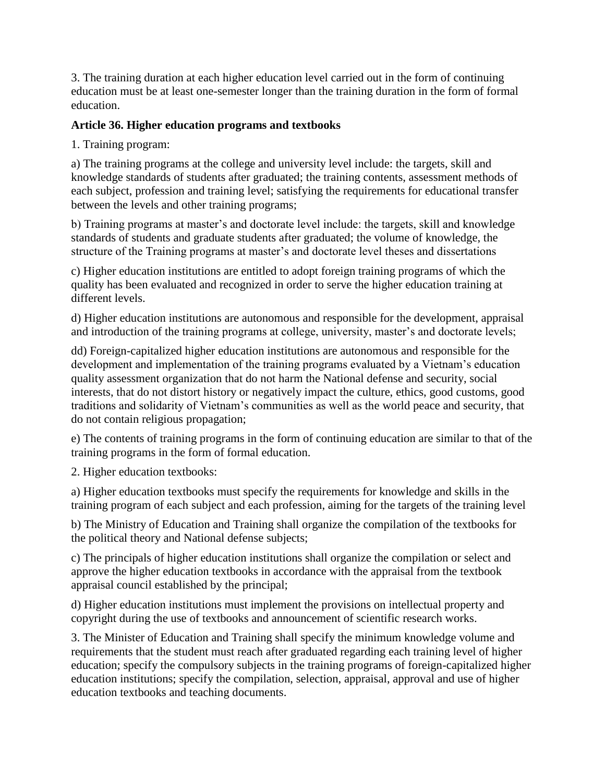3. The training duration at each higher education level carried out in the form of continuing education must be at least one-semester longer than the training duration in the form of formal education.

#### **Article 36. Higher education programs and textbooks**

1. Training program:

a) The training programs at the college and university level include: the targets, skill and knowledge standards of students after graduated; the training contents, assessment methods of each subject, profession and training level; satisfying the requirements for educational transfer between the levels and other training programs;

b) Training programs at master's and doctorate level include: the targets, skill and knowledge standards of students and graduate students after graduated; the volume of knowledge, the structure of the Training programs at master's and doctorate level theses and dissertations

c) Higher education institutions are entitled to adopt foreign training programs of which the quality has been evaluated and recognized in order to serve the higher education training at different levels.

d) Higher education institutions are autonomous and responsible for the development, appraisal and introduction of the training programs at college, university, master's and doctorate levels;

dd) Foreign-capitalized higher education institutions are autonomous and responsible for the development and implementation of the training programs evaluated by a Vietnam's education quality assessment organization that do not harm the National defense and security, social interests, that do not distort history or negatively impact the culture, ethics, good customs, good traditions and solidarity of Vietnam's communities as well as the world peace and security, that do not contain religious propagation;

e) The contents of training programs in the form of continuing education are similar to that of the training programs in the form of formal education.

2. Higher education textbooks:

a) Higher education textbooks must specify the requirements for knowledge and skills in the training program of each subject and each profession, aiming for the targets of the training level

b) The Ministry of Education and Training shall organize the compilation of the textbooks for the political theory and National defense subjects;

c) The principals of higher education institutions shall organize the compilation or select and approve the higher education textbooks in accordance with the appraisal from the textbook appraisal council established by the principal;

d) Higher education institutions must implement the provisions on intellectual property and copyright during the use of textbooks and announcement of scientific research works.

3. The Minister of Education and Training shall specify the minimum knowledge volume and requirements that the student must reach after graduated regarding each training level of higher education; specify the compulsory subjects in the training programs of foreign-capitalized higher education institutions; specify the compilation, selection, appraisal, approval and use of higher education textbooks and teaching documents.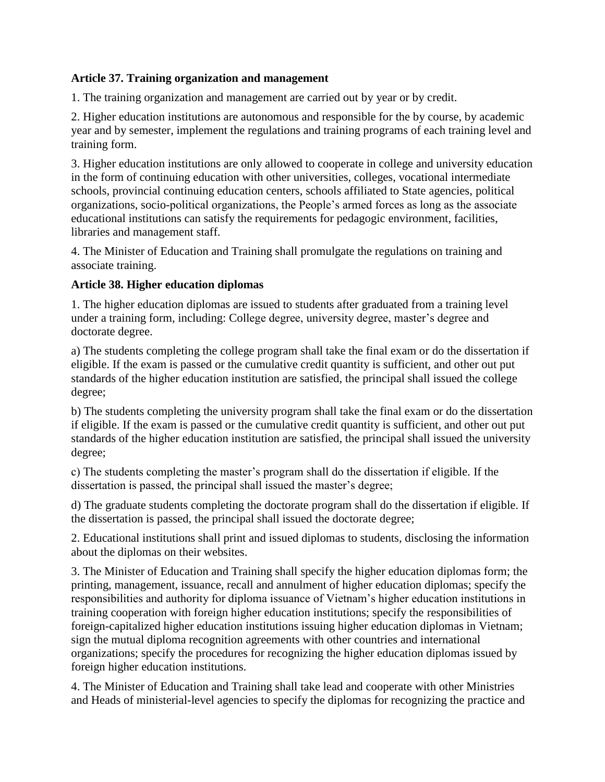#### **Article 37. Training organization and management**

1. The training organization and management are carried out by year or by credit.

2. Higher education institutions are autonomous and responsible for the by course, by academic year and by semester, implement the regulations and training programs of each training level and training form.

3. Higher education institutions are only allowed to cooperate in college and university education in the form of continuing education with other universities, colleges, vocational intermediate schools, provincial continuing education centers, schools affiliated to State agencies, political organizations, socio-political organizations, the People's armed forces as long as the associate educational institutions can satisfy the requirements for pedagogic environment, facilities, libraries and management staff.

4. The Minister of Education and Training shall promulgate the regulations on training and associate training.

## **Article 38. Higher education diplomas**

1. The higher education diplomas are issued to students after graduated from a training level under a training form, including: College degree, university degree, master's degree and doctorate degree.

a) The students completing the college program shall take the final exam or do the dissertation if eligible. If the exam is passed or the cumulative credit quantity is sufficient, and other out put standards of the higher education institution are satisfied, the principal shall issued the college degree;

b) The students completing the university program shall take the final exam or do the dissertation if eligible. If the exam is passed or the cumulative credit quantity is sufficient, and other out put standards of the higher education institution are satisfied, the principal shall issued the university degree;

c) The students completing the master's program shall do the dissertation if eligible. If the dissertation is passed, the principal shall issued the master's degree;

d) The graduate students completing the doctorate program shall do the dissertation if eligible. If the dissertation is passed, the principal shall issued the doctorate degree;

2. Educational institutions shall print and issued diplomas to students, disclosing the information about the diplomas on their websites.

3. The Minister of Education and Training shall specify the higher education diplomas form; the printing, management, issuance, recall and annulment of higher education diplomas; specify the responsibilities and authority for diploma issuance of Vietnam's higher education institutions in training cooperation with foreign higher education institutions; specify the responsibilities of foreign-capitalized higher education institutions issuing higher education diplomas in Vietnam; sign the mutual diploma recognition agreements with other countries and international organizations; specify the procedures for recognizing the higher education diplomas issued by foreign higher education institutions.

4. The Minister of Education and Training shall take lead and cooperate with other Ministries and Heads of ministerial-level agencies to specify the diplomas for recognizing the practice and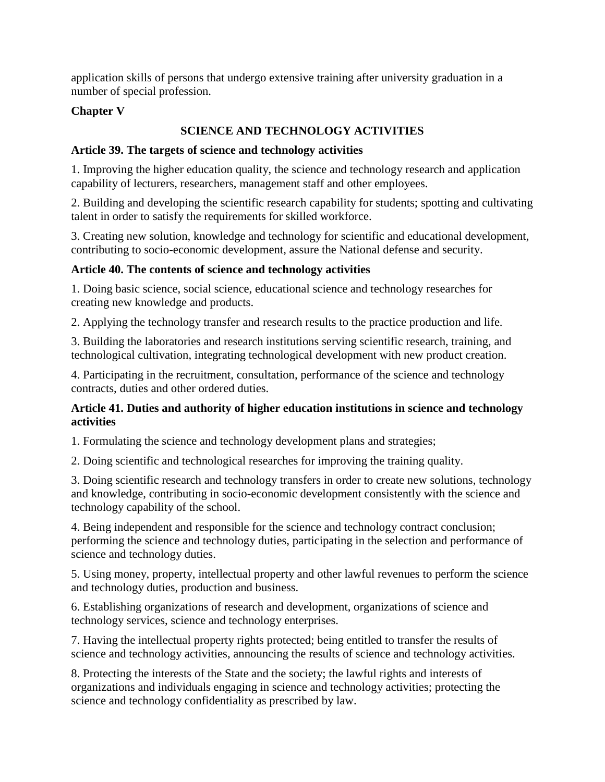application skills of persons that undergo extensive training after university graduation in a number of special profession.

## **Chapter V**

## **SCIENCE AND TECHNOLOGY ACTIVITIES**

#### **Article 39. The targets of science and technology activities**

1. Improving the higher education quality, the science and technology research and application capability of lecturers, researchers, management staff and other employees.

2. Building and developing the scientific research capability for students; spotting and cultivating talent in order to satisfy the requirements for skilled workforce.

3. Creating new solution, knowledge and technology for scientific and educational development, contributing to socio-economic development, assure the National defense and security.

#### **Article 40. The contents of science and technology activities**

1. Doing basic science, social science, educational science and technology researches for creating new knowledge and products.

2. Applying the technology transfer and research results to the practice production and life.

3. Building the laboratories and research institutions serving scientific research, training, and technological cultivation, integrating technological development with new product creation.

4. Participating in the recruitment, consultation, performance of the science and technology contracts, duties and other ordered duties.

#### **Article 41. Duties and authority of higher education institutions in science and technology activities**

1. Formulating the science and technology development plans and strategies;

2. Doing scientific and technological researches for improving the training quality.

3. Doing scientific research and technology transfers in order to create new solutions, technology and knowledge, contributing in socio-economic development consistently with the science and technology capability of the school.

4. Being independent and responsible for the science and technology contract conclusion; performing the science and technology duties, participating in the selection and performance of science and technology duties.

5. Using money, property, intellectual property and other lawful revenues to perform the science and technology duties, production and business.

6. Establishing organizations of research and development, organizations of science and technology services, science and technology enterprises.

7. Having the intellectual property rights protected; being entitled to transfer the results of science and technology activities, announcing the results of science and technology activities.

8. Protecting the interests of the State and the society; the lawful rights and interests of organizations and individuals engaging in science and technology activities; protecting the science and technology confidentiality as prescribed by law.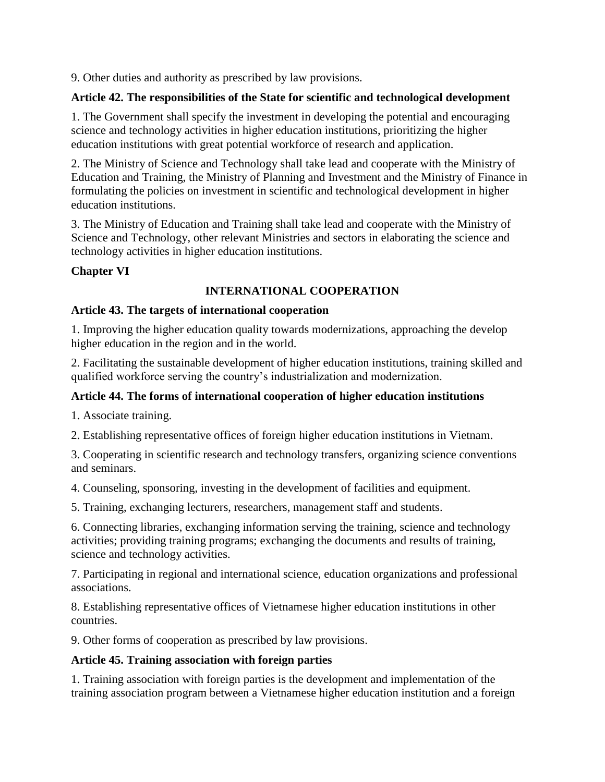9. Other duties and authority as prescribed by law provisions.

#### **Article 42. The responsibilities of the State for scientific and technological development**

1. The Government shall specify the investment in developing the potential and encouraging science and technology activities in higher education institutions, prioritizing the higher education institutions with great potential workforce of research and application.

2. The Ministry of Science and Technology shall take lead and cooperate with the Ministry of Education and Training, the Ministry of Planning and Investment and the Ministry of Finance in formulating the policies on investment in scientific and technological development in higher education institutions.

3. The Ministry of Education and Training shall take lead and cooperate with the Ministry of Science and Technology, other relevant Ministries and sectors in elaborating the science and technology activities in higher education institutions.

# **Chapter VI**

## **INTERNATIONAL COOPERATION**

#### **Article 43. The targets of international cooperation**

1. Improving the higher education quality towards modernizations, approaching the develop higher education in the region and in the world.

2. Facilitating the sustainable development of higher education institutions, training skilled and qualified workforce serving the country's industrialization and modernization.

# **Article 44. The forms of international cooperation of higher education institutions**

1. Associate training.

2. Establishing representative offices of foreign higher education institutions in Vietnam.

3. Cooperating in scientific research and technology transfers, organizing science conventions and seminars.

4. Counseling, sponsoring, investing in the development of facilities and equipment.

5. Training, exchanging lecturers, researchers, management staff and students.

6. Connecting libraries, exchanging information serving the training, science and technology activities; providing training programs; exchanging the documents and results of training, science and technology activities.

7. Participating in regional and international science, education organizations and professional associations.

8. Establishing representative offices of Vietnamese higher education institutions in other countries.

9. Other forms of cooperation as prescribed by law provisions.

#### **Article 45. Training association with foreign parties**

1. Training association with foreign parties is the development and implementation of the training association program between a Vietnamese higher education institution and a foreign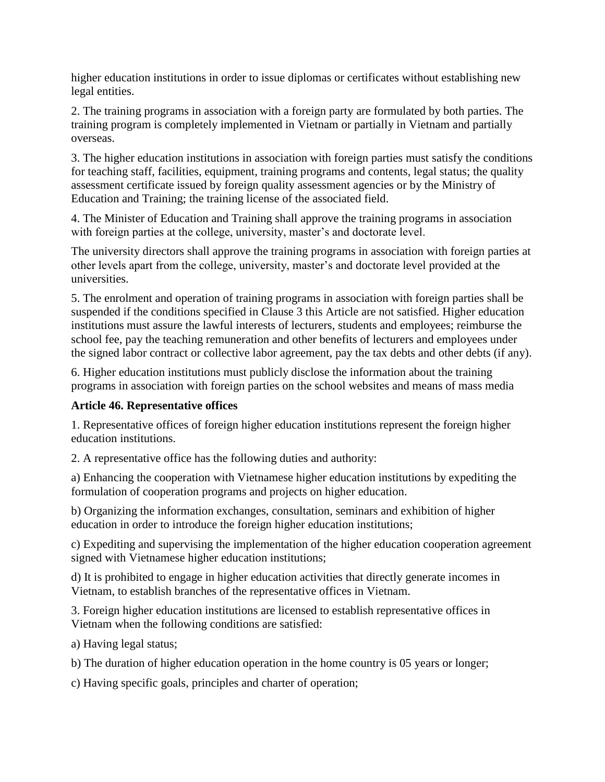higher education institutions in order to issue diplomas or certificates without establishing new legal entities.

2. The training programs in association with a foreign party are formulated by both parties. The training program is completely implemented in Vietnam or partially in Vietnam and partially overseas.

3. The higher education institutions in association with foreign parties must satisfy the conditions for teaching staff, facilities, equipment, training programs and contents, legal status; the quality assessment certificate issued by foreign quality assessment agencies or by the Ministry of Education and Training; the training license of the associated field.

4. The Minister of Education and Training shall approve the training programs in association with foreign parties at the college, university, master's and doctorate level.

The university directors shall approve the training programs in association with foreign parties at other levels apart from the college, university, master's and doctorate level provided at the universities.

5. The enrolment and operation of training programs in association with foreign parties shall be suspended if the conditions specified in Clause 3 this Article are not satisfied. Higher education institutions must assure the lawful interests of lecturers, students and employees; reimburse the school fee, pay the teaching remuneration and other benefits of lecturers and employees under the signed labor contract or collective labor agreement, pay the tax debts and other debts (if any).

6. Higher education institutions must publicly disclose the information about the training programs in association with foreign parties on the school websites and means of mass media

#### **Article 46. Representative offices**

1. Representative offices of foreign higher education institutions represent the foreign higher education institutions.

2. A representative office has the following duties and authority:

a) Enhancing the cooperation with Vietnamese higher education institutions by expediting the formulation of cooperation programs and projects on higher education.

b) Organizing the information exchanges, consultation, seminars and exhibition of higher education in order to introduce the foreign higher education institutions;

c) Expediting and supervising the implementation of the higher education cooperation agreement signed with Vietnamese higher education institutions;

d) It is prohibited to engage in higher education activities that directly generate incomes in Vietnam, to establish branches of the representative offices in Vietnam.

3. Foreign higher education institutions are licensed to establish representative offices in Vietnam when the following conditions are satisfied:

a) Having legal status;

b) The duration of higher education operation in the home country is 05 years or longer;

c) Having specific goals, principles and charter of operation;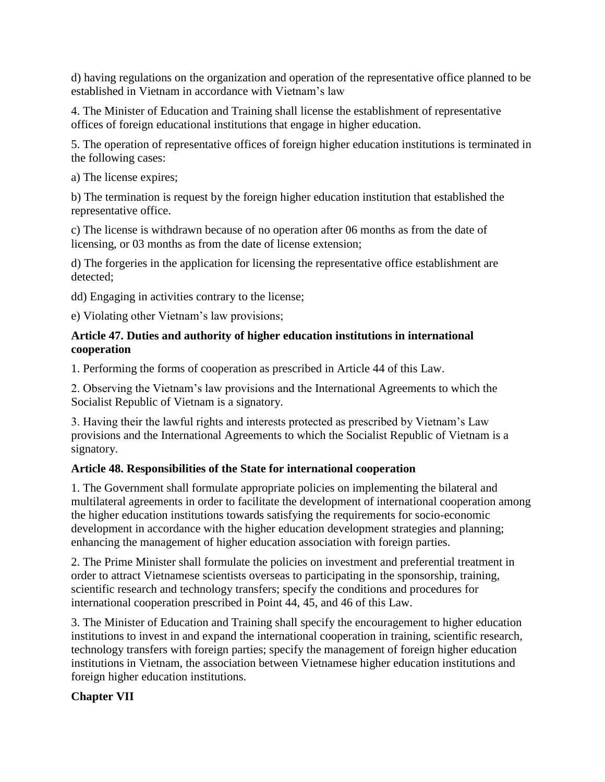d) having regulations on the organization and operation of the representative office planned to be established in Vietnam in accordance with Vietnam's law

4. The Minister of Education and Training shall license the establishment of representative offices of foreign educational institutions that engage in higher education.

5. The operation of representative offices of foreign higher education institutions is terminated in the following cases:

a) The license expires;

b) The termination is request by the foreign higher education institution that established the representative office.

c) The license is withdrawn because of no operation after 06 months as from the date of licensing, or 03 months as from the date of license extension;

d) The forgeries in the application for licensing the representative office establishment are detected;

dd) Engaging in activities contrary to the license;

e) Violating other Vietnam's law provisions;

#### **Article 47. Duties and authority of higher education institutions in international cooperation**

1. Performing the forms of cooperation as prescribed in Article 44 of this Law.

2. Observing the Vietnam's law provisions and the International Agreements to which the Socialist Republic of Vietnam is a signatory.

3. Having their the lawful rights and interests protected as prescribed by Vietnam's Law provisions and the International Agreements to which the Socialist Republic of Vietnam is a signatory.

#### **Article 48. Responsibilities of the State for international cooperation**

1. The Government shall formulate appropriate policies on implementing the bilateral and multilateral agreements in order to facilitate the development of international cooperation among the higher education institutions towards satisfying the requirements for socio-economic development in accordance with the higher education development strategies and planning; enhancing the management of higher education association with foreign parties.

2. The Prime Minister shall formulate the policies on investment and preferential treatment in order to attract Vietnamese scientists overseas to participating in the sponsorship, training, scientific research and technology transfers; specify the conditions and procedures for international cooperation prescribed in Point 44, 45, and 46 of this Law.

3. The Minister of Education and Training shall specify the encouragement to higher education institutions to invest in and expand the international cooperation in training, scientific research, technology transfers with foreign parties; specify the management of foreign higher education institutions in Vietnam, the association between Vietnamese higher education institutions and foreign higher education institutions.

#### **Chapter VII**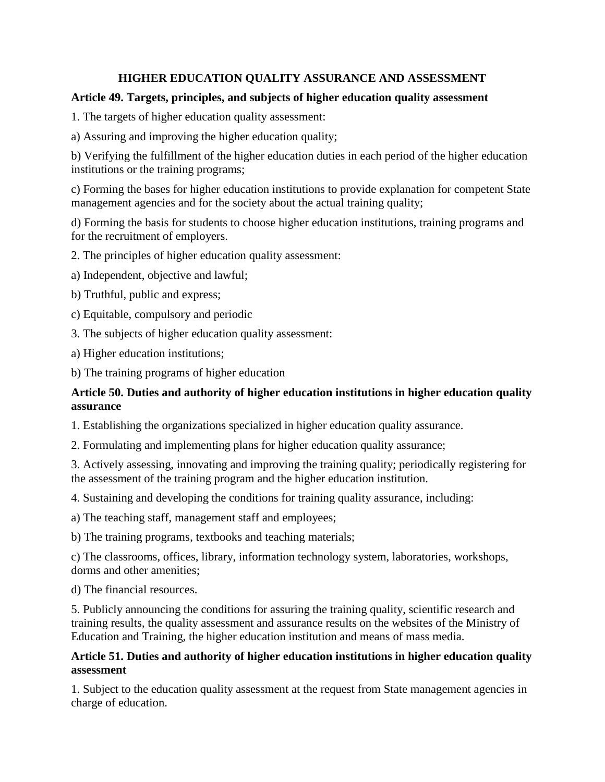# **HIGHER EDUCATION QUALITY ASSURANCE AND ASSESSMENT**

#### **Article 49. Targets, principles, and subjects of higher education quality assessment**

1. The targets of higher education quality assessment:

a) Assuring and improving the higher education quality;

b) Verifying the fulfillment of the higher education duties in each period of the higher education institutions or the training programs;

c) Forming the bases for higher education institutions to provide explanation for competent State management agencies and for the society about the actual training quality;

d) Forming the basis for students to choose higher education institutions, training programs and for the recruitment of employers.

2. The principles of higher education quality assessment:

a) Independent, objective and lawful;

b) Truthful, public and express;

c) Equitable, compulsory and periodic

3. The subjects of higher education quality assessment:

a) Higher education institutions;

b) The training programs of higher education

#### **Article 50. Duties and authority of higher education institutions in higher education quality assurance**

1. Establishing the organizations specialized in higher education quality assurance.

2. Formulating and implementing plans for higher education quality assurance;

3. Actively assessing, innovating and improving the training quality; periodically registering for the assessment of the training program and the higher education institution.

4. Sustaining and developing the conditions for training quality assurance, including:

a) The teaching staff, management staff and employees;

b) The training programs, textbooks and teaching materials;

c) The classrooms, offices, library, information technology system, laboratories, workshops, dorms and other amenities;

d) The financial resources.

5. Publicly announcing the conditions for assuring the training quality, scientific research and training results, the quality assessment and assurance results on the websites of the Ministry of Education and Training, the higher education institution and means of mass media.

#### **Article 51. Duties and authority of higher education institutions in higher education quality assessment**

1. Subject to the education quality assessment at the request from State management agencies in charge of education.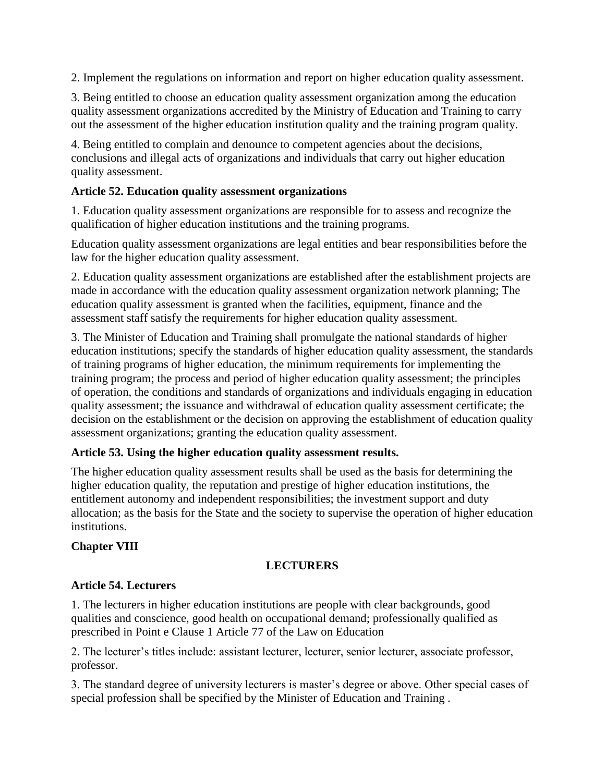2. Implement the regulations on information and report on higher education quality assessment.

3. Being entitled to choose an education quality assessment organization among the education quality assessment organizations accredited by the Ministry of Education and Training to carry out the assessment of the higher education institution quality and the training program quality.

4. Being entitled to complain and denounce to competent agencies about the decisions, conclusions and illegal acts of organizations and individuals that carry out higher education quality assessment.

#### **Article 52. Education quality assessment organizations**

1. Education quality assessment organizations are responsible for to assess and recognize the qualification of higher education institutions and the training programs.

Education quality assessment organizations are legal entities and bear responsibilities before the law for the higher education quality assessment.

2. Education quality assessment organizations are established after the establishment projects are made in accordance with the education quality assessment organization network planning; The education quality assessment is granted when the facilities, equipment, finance and the assessment staff satisfy the requirements for higher education quality assessment.

3. The Minister of Education and Training shall promulgate the national standards of higher education institutions; specify the standards of higher education quality assessment, the standards of training programs of higher education, the minimum requirements for implementing the training program; the process and period of higher education quality assessment; the principles of operation, the conditions and standards of organizations and individuals engaging in education quality assessment; the issuance and withdrawal of education quality assessment certificate; the decision on the establishment or the decision on approving the establishment of education quality assessment organizations; granting the education quality assessment.

#### **Article 53. Using the higher education quality assessment results.**

The higher education quality assessment results shall be used as the basis for determining the higher education quality, the reputation and prestige of higher education institutions, the entitlement autonomy and independent responsibilities; the investment support and duty allocation; as the basis for the State and the society to supervise the operation of higher education institutions.

#### **Chapter VIII**

#### **LECTURERS**

#### **Article 54. Lecturers**

1. The lecturers in higher education institutions are people with clear backgrounds, good qualities and conscience, good health on occupational demand; professionally qualified as prescribed in Point e Clause 1 Article 77 of the Law on Education

2. The lecturer's titles include: assistant lecturer, lecturer, senior lecturer, associate professor, professor.

3. The standard degree of university lecturers is master's degree or above. Other special cases of special profession shall be specified by the Minister of Education and Training .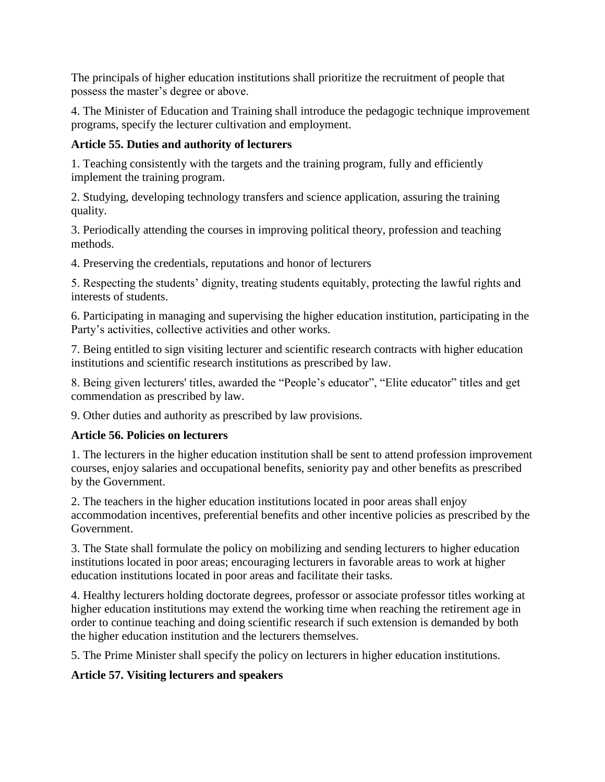The principals of higher education institutions shall prioritize the recruitment of people that possess the master's degree or above.

4. The Minister of Education and Training shall introduce the pedagogic technique improvement programs, specify the lecturer cultivation and employment.

# **Article 55. Duties and authority of lecturers**

1. Teaching consistently with the targets and the training program, fully and efficiently implement the training program.

2. Studying, developing technology transfers and science application, assuring the training quality.

3. Periodically attending the courses in improving political theory, profession and teaching methods.

4. Preserving the credentials, reputations and honor of lecturers

5. Respecting the students' dignity, treating students equitably, protecting the lawful rights and interests of students.

6. Participating in managing and supervising the higher education institution, participating in the Party's activities, collective activities and other works.

7. Being entitled to sign visiting lecturer and scientific research contracts with higher education institutions and scientific research institutions as prescribed by law.

8. Being given lecturers' titles, awarded the "People's educator", "Elite educator" titles and get commendation as prescribed by law.

9. Other duties and authority as prescribed by law provisions.

# **Article 56. Policies on lecturers**

1. The lecturers in the higher education institution shall be sent to attend profession improvement courses, enjoy salaries and occupational benefits, seniority pay and other benefits as prescribed by the Government.

2. The teachers in the higher education institutions located in poor areas shall enjoy accommodation incentives, preferential benefits and other incentive policies as prescribed by the Government.

3. The State shall formulate the policy on mobilizing and sending lecturers to higher education institutions located in poor areas; encouraging lecturers in favorable areas to work at higher education institutions located in poor areas and facilitate their tasks.

4. Healthy lecturers holding doctorate degrees, professor or associate professor titles working at higher education institutions may extend the working time when reaching the retirement age in order to continue teaching and doing scientific research if such extension is demanded by both the higher education institution and the lecturers themselves.

5. The Prime Minister shall specify the policy on lecturers in higher education institutions.

# **Article 57. Visiting lecturers and speakers**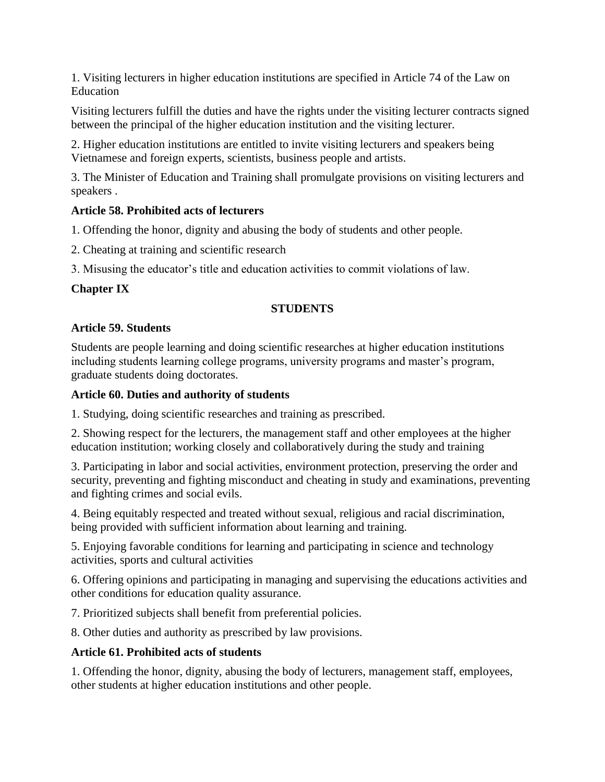1. Visiting lecturers in higher education institutions are specified in Article 74 of the Law on Education

Visiting lecturers fulfill the duties and have the rights under the visiting lecturer contracts signed between the principal of the higher education institution and the visiting lecturer.

2. Higher education institutions are entitled to invite visiting lecturers and speakers being Vietnamese and foreign experts, scientists, business people and artists.

3. The Minister of Education and Training shall promulgate provisions on visiting lecturers and speakers .

#### **Article 58. Prohibited acts of lecturers**

1. Offending the honor, dignity and abusing the body of students and other people.

2. Cheating at training and scientific research

3. Misusing the educator's title and education activities to commit violations of law.

#### **Chapter IX**

#### **STUDENTS**

#### **Article 59. Students**

Students are people learning and doing scientific researches at higher education institutions including students learning college programs, university programs and master's program, graduate students doing doctorates.

#### **Article 60. Duties and authority of students**

1. Studying, doing scientific researches and training as prescribed.

2. Showing respect for the lecturers, the management staff and other employees at the higher education institution; working closely and collaboratively during the study and training

3. Participating in labor and social activities, environment protection, preserving the order and security, preventing and fighting misconduct and cheating in study and examinations, preventing and fighting crimes and social evils.

4. Being equitably respected and treated without sexual, religious and racial discrimination, being provided with sufficient information about learning and training.

5. Enjoying favorable conditions for learning and participating in science and technology activities, sports and cultural activities

6. Offering opinions and participating in managing and supervising the educations activities and other conditions for education quality assurance.

7. Prioritized subjects shall benefit from preferential policies.

8. Other duties and authority as prescribed by law provisions.

#### **Article 61. Prohibited acts of students**

1. Offending the honor, dignity, abusing the body of lecturers, management staff, employees, other students at higher education institutions and other people.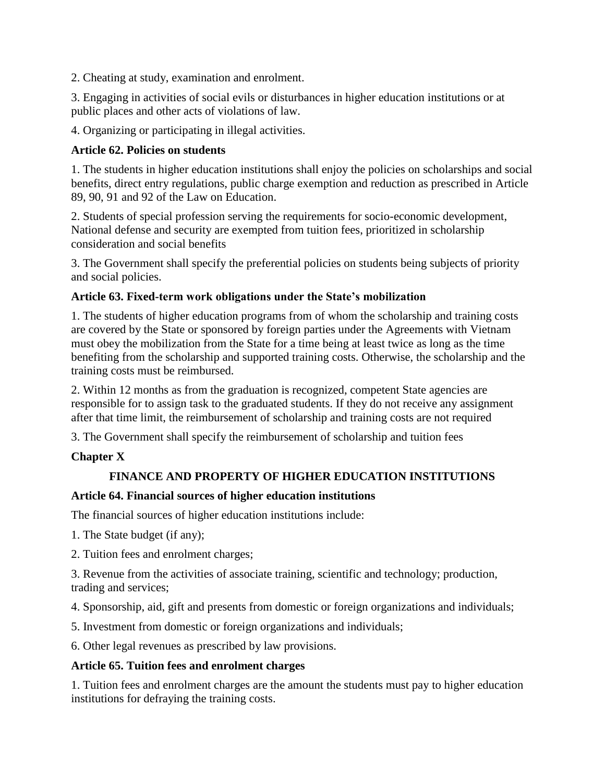2. Cheating at study, examination and enrolment.

3. Engaging in activities of social evils or disturbances in higher education institutions or at public places and other acts of violations of law.

4. Organizing or participating in illegal activities.

#### **Article 62. Policies on students**

1. The students in higher education institutions shall enjoy the policies on scholarships and social benefits, direct entry regulations, public charge exemption and reduction as prescribed in Article 89, 90, 91 and 92 of the Law on Education.

2. Students of special profession serving the requirements for socio-economic development, National defense and security are exempted from tuition fees, prioritized in scholarship consideration and social benefits

3. The Government shall specify the preferential policies on students being subjects of priority and social policies.

#### **Article 63. Fixed-term work obligations under the State's mobilization**

1. The students of higher education programs from of whom the scholarship and training costs are covered by the State or sponsored by foreign parties under the Agreements with Vietnam must obey the mobilization from the State for a time being at least twice as long as the time benefiting from the scholarship and supported training costs. Otherwise, the scholarship and the training costs must be reimbursed.

2. Within 12 months as from the graduation is recognized, competent State agencies are responsible for to assign task to the graduated students. If they do not receive any assignment after that time limit, the reimbursement of scholarship and training costs are not required

3. The Government shall specify the reimbursement of scholarship and tuition fees

#### **Chapter X**

#### **FINANCE AND PROPERTY OF HIGHER EDUCATION INSTITUTIONS**

#### **Article 64. Financial sources of higher education institutions**

The financial sources of higher education institutions include:

1. The State budget (if any);

2. Tuition fees and enrolment charges;

3. Revenue from the activities of associate training, scientific and technology; production, trading and services;

4. Sponsorship, aid, gift and presents from domestic or foreign organizations and individuals;

5. Investment from domestic or foreign organizations and individuals;

6. Other legal revenues as prescribed by law provisions.

#### **Article 65. Tuition fees and enrolment charges**

1. Tuition fees and enrolment charges are the amount the students must pay to higher education institutions for defraying the training costs.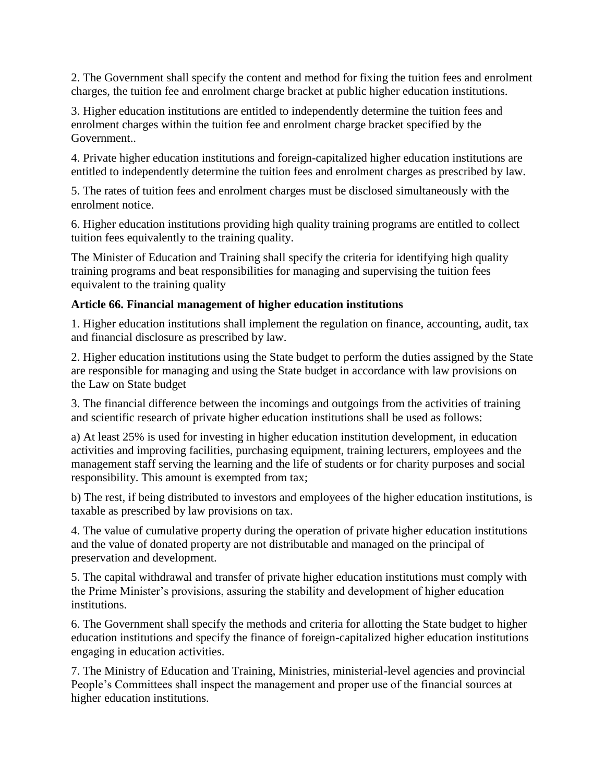2. The Government shall specify the content and method for fixing the tuition fees and enrolment charges, the tuition fee and enrolment charge bracket at public higher education institutions.

3. Higher education institutions are entitled to independently determine the tuition fees and enrolment charges within the tuition fee and enrolment charge bracket specified by the Government..

4. Private higher education institutions and foreign-capitalized higher education institutions are entitled to independently determine the tuition fees and enrolment charges as prescribed by law.

5. The rates of tuition fees and enrolment charges must be disclosed simultaneously with the enrolment notice.

6. Higher education institutions providing high quality training programs are entitled to collect tuition fees equivalently to the training quality.

The Minister of Education and Training shall specify the criteria for identifying high quality training programs and beat responsibilities for managing and supervising the tuition fees equivalent to the training quality

#### **Article 66. Financial management of higher education institutions**

1. Higher education institutions shall implement the regulation on finance, accounting, audit, tax and financial disclosure as prescribed by law.

2. Higher education institutions using the State budget to perform the duties assigned by the State are responsible for managing and using the State budget in accordance with law provisions on the Law on State budget

3. The financial difference between the incomings and outgoings from the activities of training and scientific research of private higher education institutions shall be used as follows:

a) At least 25% is used for investing in higher education institution development, in education activities and improving facilities, purchasing equipment, training lecturers, employees and the management staff serving the learning and the life of students or for charity purposes and social responsibility. This amount is exempted from tax;

b) The rest, if being distributed to investors and employees of the higher education institutions, is taxable as prescribed by law provisions on tax.

4. The value of cumulative property during the operation of private higher education institutions and the value of donated property are not distributable and managed on the principal of preservation and development.

5. The capital withdrawal and transfer of private higher education institutions must comply with the Prime Minister's provisions, assuring the stability and development of higher education institutions.

6. The Government shall specify the methods and criteria for allotting the State budget to higher education institutions and specify the finance of foreign-capitalized higher education institutions engaging in education activities.

7. The Ministry of Education and Training, Ministries, ministerial-level agencies and provincial People's Committees shall inspect the management and proper use of the financial sources at higher education institutions.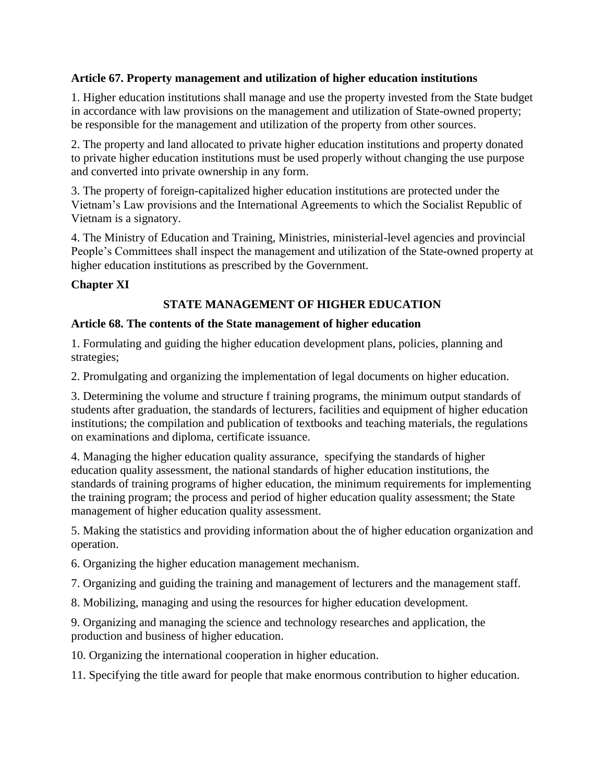#### **Article 67. Property management and utilization of higher education institutions**

1. Higher education institutions shall manage and use the property invested from the State budget in accordance with law provisions on the management and utilization of State-owned property; be responsible for the management and utilization of the property from other sources.

2. The property and land allocated to private higher education institutions and property donated to private higher education institutions must be used properly without changing the use purpose and converted into private ownership in any form.

3. The property of foreign-capitalized higher education institutions are protected under the Vietnam's Law provisions and the International Agreements to which the Socialist Republic of Vietnam is a signatory.

4. The Ministry of Education and Training, Ministries, ministerial-level agencies and provincial People's Committees shall inspect the management and utilization of the State-owned property at higher education institutions as prescribed by the Government.

## **Chapter XI**

# **STATE MANAGEMENT OF HIGHER EDUCATION**

#### **Article 68. The contents of the State management of higher education**

1. Formulating and guiding the higher education development plans, policies, planning and strategies;

2. Promulgating and organizing the implementation of legal documents on higher education.

3. Determining the volume and structure f training programs, the minimum output standards of students after graduation, the standards of lecturers, facilities and equipment of higher education institutions; the compilation and publication of textbooks and teaching materials, the regulations on examinations and diploma, certificate issuance.

4. Managing the higher education quality assurance, specifying the standards of higher education quality assessment, the national standards of higher education institutions, the standards of training programs of higher education, the minimum requirements for implementing the training program; the process and period of higher education quality assessment; the State management of higher education quality assessment.

5. Making the statistics and providing information about the of higher education organization and operation.

6. Organizing the higher education management mechanism.

7. Organizing and guiding the training and management of lecturers and the management staff.

8. Mobilizing, managing and using the resources for higher education development.

9. Organizing and managing the science and technology researches and application, the production and business of higher education.

10. Organizing the international cooperation in higher education.

11. Specifying the title award for people that make enormous contribution to higher education.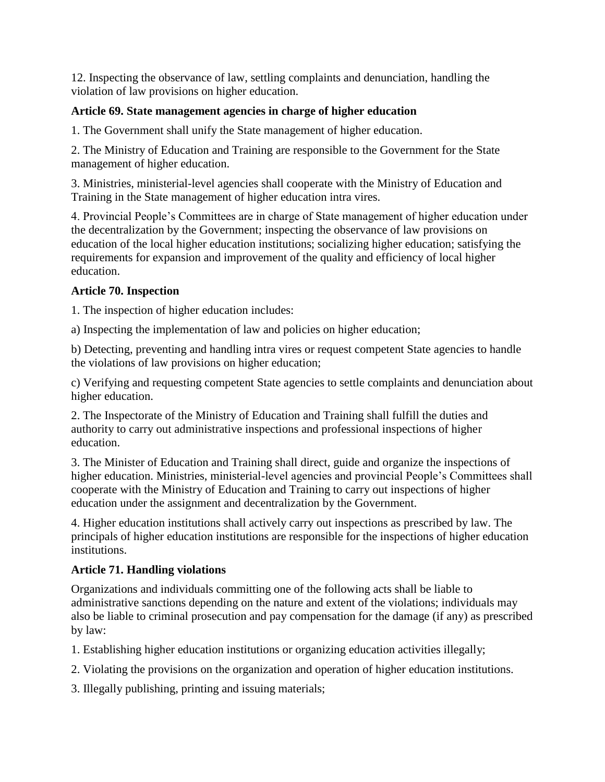12. Inspecting the observance of law, settling complaints and denunciation, handling the violation of law provisions on higher education.

# **Article 69. State management agencies in charge of higher education**

1. The Government shall unify the State management of higher education.

2. The Ministry of Education and Training are responsible to the Government for the State management of higher education.

3. Ministries, ministerial-level agencies shall cooperate with the Ministry of Education and Training in the State management of higher education intra vires.

4. Provincial People's Committees are in charge of State management of higher education under the decentralization by the Government; inspecting the observance of law provisions on education of the local higher education institutions; socializing higher education; satisfying the requirements for expansion and improvement of the quality and efficiency of local higher education.

## **Article 70. Inspection**

1. The inspection of higher education includes:

a) Inspecting the implementation of law and policies on higher education;

b) Detecting, preventing and handling intra vires or request competent State agencies to handle the violations of law provisions on higher education;

c) Verifying and requesting competent State agencies to settle complaints and denunciation about higher education.

2. The Inspectorate of the Ministry of Education and Training shall fulfill the duties and authority to carry out administrative inspections and professional inspections of higher education.

3. The Minister of Education and Training shall direct, guide and organize the inspections of higher education. Ministries, ministerial-level agencies and provincial People's Committees shall cooperate with the Ministry of Education and Training to carry out inspections of higher education under the assignment and decentralization by the Government.

4. Higher education institutions shall actively carry out inspections as prescribed by law. The principals of higher education institutions are responsible for the inspections of higher education institutions.

# **Article 71. Handling violations**

Organizations and individuals committing one of the following acts shall be liable to administrative sanctions depending on the nature and extent of the violations; individuals may also be liable to criminal prosecution and pay compensation for the damage (if any) as prescribed by law:

1. Establishing higher education institutions or organizing education activities illegally;

- 2. Violating the provisions on the organization and operation of higher education institutions.
- 3. Illegally publishing, printing and issuing materials;